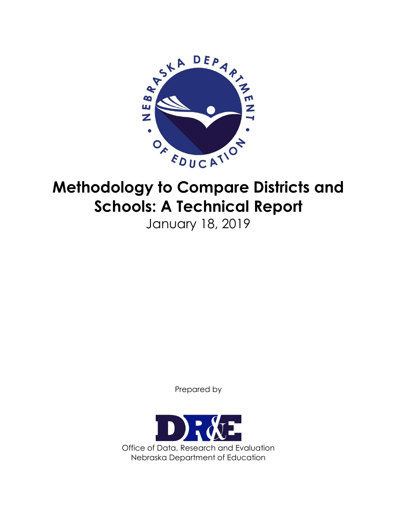

# **Methodology to Compare Districts and Schools: A Technical Report**

January 18, 2019

Prepared by

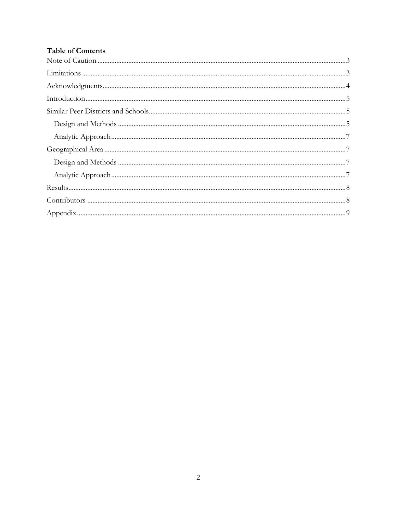# **Table of Contents**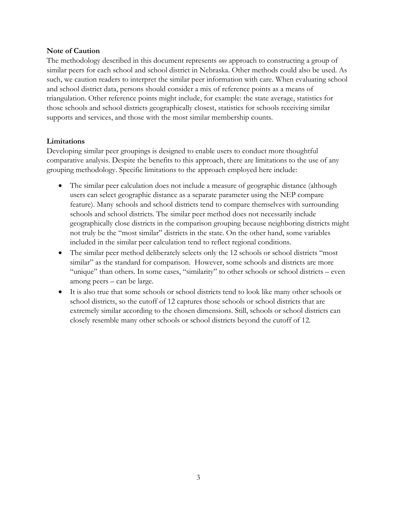## <span id="page-2-0"></span>**Note of Caution**

The methodology described in this document represents *one* approach to constructing a group of similar peers for each school and school district in Nebraska. Other methods could also be used. As such, we caution readers to interpret the similar peer information with care. When evaluating school and school district data, persons should consider a mix of reference points as a means of triangulation. Other reference points might include, for example: the state average, statistics for those schools and school districts geographically closest, statistics for schools receiving similar supports and services, and those with the most similar membership counts.

## <span id="page-2-1"></span>**Limitations**

Developing similar peer groupings is designed to enable users to conduct more thoughtful comparative analysis. Despite the benefits to this approach, there are limitations to the use of any grouping methodology. Specific limitations to the approach employed here include:

- The similar peer calculation does not include a measure of geographic distance (although users can select geographic distance as a separate parameter using the NEP compare feature). Many schools and school districts tend to compare themselves with surrounding schools and school districts. The similar peer method does not necessarily include geographically close districts in the comparison grouping because neighboring districts might not truly be the "most similar" districts in the state. On the other hand, some variables included in the similar peer calculation tend to reflect regional conditions.
- The similar peer method deliberately selects only the 12 schools or school districts "most" similar" as the standard for comparison. However, some schools and districts are more "unique" than others. In some cases, "similarity" to other schools or school districts – even among peers – can be large.
- It is also true that some schools or school districts tend to look like many other schools or school districts, so the cutoff of 12 captures those schools or school districts that are extremely similar according to the chosen dimensions. Still, schools or school districts can closely resemble many other schools or school districts beyond the cutoff of 12.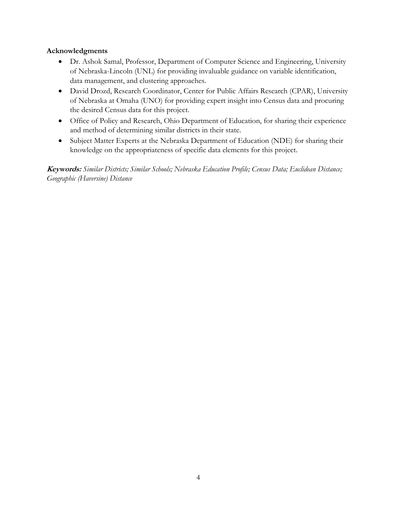## <span id="page-3-0"></span>**Acknowledgments**

- Dr. Ashok Samal, Professor, Department of Computer Science and Engineering, University of Nebraska-Lincoln (UNL) for providing invaluable guidance on variable identification, data management, and clustering approaches.
- David Drozd, Research Coordinator, Center for Public Affairs Research (CPAR), University of Nebraska at Omaha (UNO) for providing expert insight into Census data and procuring the desired Census data for this project.
- Office of Policy and Research, Ohio Department of Education, for sharing their experience and method of determining similar districts in their state.
- Subject Matter Experts at the Nebraska Department of Education (NDE) for sharing their knowledge on the appropriateness of specific data elements for this project.

**Keywords:** *Similar Districts; Similar Schools; Nebraska Education Profile; Census Data; Euclidean Distance; Geographic (Haversine) Distance*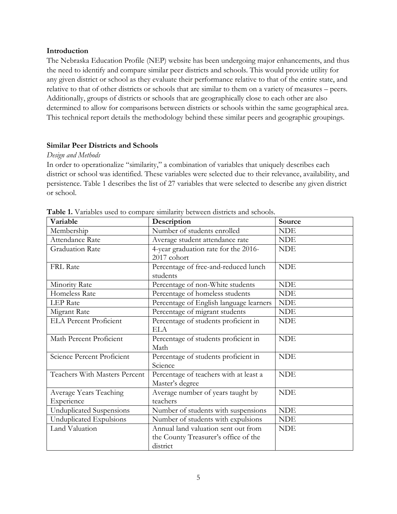#### <span id="page-4-0"></span>**Introduction**

The Nebraska Education Profile (NEP) website has been undergoing major enhancements, and thus the need to identify and compare similar peer districts and schools. This would provide utility for any given district or school as they evaluate their performance relative to that of the entire state, and relative to that of other districts or schools that are similar to them on a variety of measures – peers. Additionally, groups of districts or schools that are geographically close to each other are also determined to allow for comparisons between districts or schools within the same geographical area. This technical report details the methodology behind these similar peers and geographic groupings.

## <span id="page-4-1"></span>**Similar Peer Districts and Schools**

## <span id="page-4-2"></span>*Design and Methods*

In order to operationalize "similarity," a combination of variables that uniquely describes each district or school was identified. These variables were selected due to their relevance, availability, and persistence. Table 1 describes the list of 27 variables that were selected to describe any given district or school.

| Variable                             | Description                                                                             | Source     |
|--------------------------------------|-----------------------------------------------------------------------------------------|------------|
| Membership                           | Number of students enrolled                                                             | <b>NDE</b> |
| Attendance Rate                      | Average student attendance rate                                                         | <b>NDE</b> |
| <b>Graduation Rate</b>               | 4-year graduation rate for the 2016-<br>2017 cohort                                     | <b>NDE</b> |
| <b>FRL Rate</b>                      | Percentage of free-and-reduced lunch<br>students                                        | <b>NDE</b> |
| Minority Rate                        | Percentage of non-White students                                                        | <b>NDE</b> |
| Homeless Rate                        | Percentage of homeless students                                                         | <b>NDE</b> |
| <b>LEP</b> Rate                      | Percentage of English language learners                                                 | <b>NDE</b> |
| Migrant Rate                         | Percentage of migrant students                                                          | <b>NDE</b> |
| <b>ELA Percent Proficient</b>        | Percentage of students proficient in<br>ELA                                             | <b>NDE</b> |
| Math Percent Proficient              | Percentage of students proficient in<br>Math                                            | <b>NDE</b> |
| Science Percent Proficient           | Percentage of students proficient in<br>Science                                         | <b>NDE</b> |
| Teachers With Masters Percent        | Percentage of teachers with at least a<br>Master's degree                               | <b>NDE</b> |
| Average Years Teaching<br>Experience | Average number of years taught by<br>teachers                                           | <b>NDE</b> |
| Unduplicated Suspensions             | Number of students with suspensions                                                     | <b>NDE</b> |
| Unduplicated Expulsions              | Number of students with expulsions                                                      | <b>NDE</b> |
| Land Valuation                       | Annual land valuation sent out from<br>the County Treasurer's office of the<br>district | <b>NDE</b> |

**Table 1.** Variables used to compare similarity between districts and schools.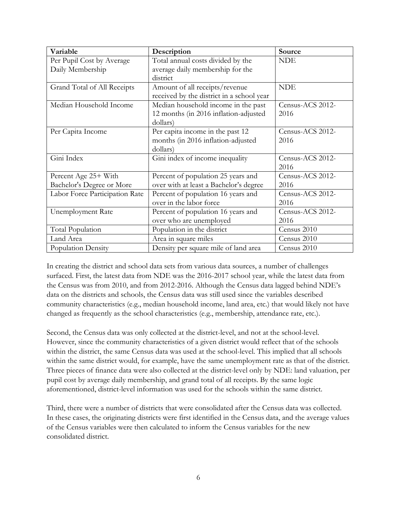| Variable                       | Description                               | Source           |
|--------------------------------|-------------------------------------------|------------------|
| Per Pupil Cost by Average      | Total annual costs divided by the         | <b>NDE</b>       |
| Daily Membership               | average daily membership for the          |                  |
|                                | district                                  |                  |
| Grand Total of All Receipts    | Amount of all receipts/revenue            | <b>NDE</b>       |
|                                | received by the district in a school year |                  |
| Median Household Income        | Median household income in the past       | Census-ACS 2012- |
|                                | 12 months (in 2016 inflation-adjusted     | 2016             |
|                                | dollars)                                  |                  |
| Per Capita Income              | Per capita income in the past 12          | Census-ACS 2012- |
|                                | months (in 2016 inflation-adjusted        | 2016             |
|                                | dollars)                                  |                  |
| Gini Index                     | Gini index of income inequality           | Census-ACS 2012- |
|                                |                                           | 2016             |
| Percent Age 25+ With           | Percent of population 25 years and        | Census-ACS 2012- |
| Bachelor's Degree or More      | over with at least a Bachelor's degree    | 2016             |
| Labor Force Participation Rate | Percent of population 16 years and        | Census-ACS 2012- |
|                                | over in the labor force                   | 2016             |
| <b>Unemployment Rate</b>       | Percent of population 16 years and        | Census-ACS 2012- |
|                                | over who are unemployed                   | 2016             |
| Total Population               | Population in the district                | Census 2010      |
| Land Area                      | Area in square miles                      | Census 2010      |
| Population Density             | Density per square mile of land area      | Census 2010      |

In creating the district and school data sets from various data sources, a number of challenges surfaced. First, the latest data from NDE was the 2016-2017 school year, while the latest data from the Census was from 2010, and from 2012-2016. Although the Census data lagged behind NDE's data on the districts and schools, the Census data was still used since the variables described community characteristics (e.g., median household income, land area, etc.) that would likely not have changed as frequently as the school characteristics (e.g., membership, attendance rate, etc.).

Second, the Census data was only collected at the district-level, and not at the school-level. However, since the community characteristics of a given district would reflect that of the schools within the district, the same Census data was used at the school-level. This implied that all schools within the same district would, for example, have the same unemployment rate as that of the district. Three pieces of finance data were also collected at the district-level only by NDE: land valuation, per pupil cost by average daily membership, and grand total of all receipts. By the same logic aforementioned, district-level information was used for the schools within the same district.

Third, there were a number of districts that were consolidated after the Census data was collected. In these cases, the originating districts were first identified in the Census data, and the average values of the Census variables were then calculated to inform the Census variables for the new consolidated district.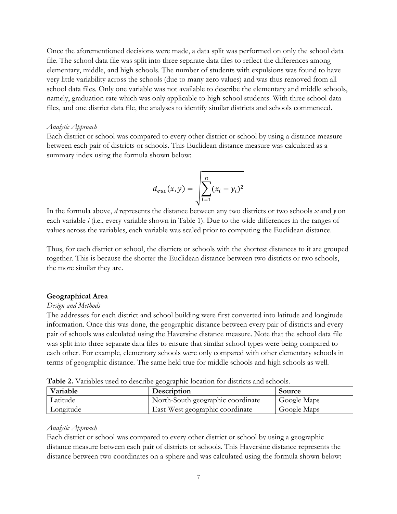Once the aforementioned decisions were made, a data split was performed on only the school data file. The school data file was split into three separate data files to reflect the differences among elementary, middle, and high schools. The number of students with expulsions was found to have very little variability across the schools (due to many zero values) and was thus removed from all school data files. Only one variable was not available to describe the elementary and middle schools, namely, graduation rate which was only applicable to high school students. With three school data files, and one district data file, the analyses to identify similar districts and schools commenced.

#### <span id="page-6-0"></span>*Analytic Approach*

Each district or school was compared to every other district or school by using a distance measure between each pair of districts or schools. This Euclidean distance measure was calculated as a summary index using the formula shown below:

$$
d_{euc}(x, y) = \sqrt{\sum_{i=1}^{n} (x_i - y_i)^2}
$$

In the formula above, *d* represents the distance between any two districts or two schools *x* and *y* on each variable *i* (i.e., every variable shown in Table 1). Due to the wide differences in the ranges of values across the variables, each variable was scaled prior to computing the Euclidean distance.

Thus, for each district or school, the districts or schools with the shortest distances to it are grouped together. This is because the shorter the Euclidean distance between two districts or two schools, the more similar they are.

#### <span id="page-6-1"></span>**Geographical Area**

#### <span id="page-6-2"></span>*Design and Methods*

The addresses for each district and school building were first converted into latitude and longitude information. Once this was done, the geographic distance between every pair of districts and every pair of schools was calculated using the Haversine distance measure. Note that the school data file was split into three separate data files to ensure that similar school types were being compared to each other. For example, elementary schools were only compared with other elementary schools in terms of geographic distance. The same held true for middle schools and high schools as well.

| <b>Twore 2.</b> Valuables ased to describe geographic location for districts and schools. |                                   |             |  |  |
|-------------------------------------------------------------------------------------------|-----------------------------------|-------------|--|--|
| Variable                                                                                  | Description                       | Source      |  |  |
| Latitude                                                                                  | North-South geographic coordinate | Google Maps |  |  |
| Longitude                                                                                 | East-West geographic coordinate   | Google Maps |  |  |

**Table 2.** Variables used to describe geographic location for districts and schools.

#### <span id="page-6-3"></span>*Analytic Approach*

Each district or school was compared to every other district or school by using a geographic distance measure between each pair of districts or schools. This Haversine distance represents the distance between two coordinates on a sphere and was calculated using the formula shown below: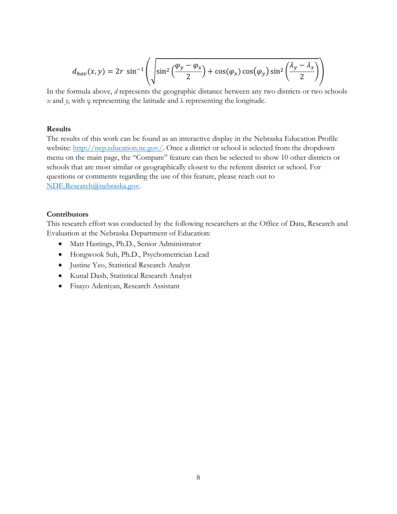$$
d_{hav}(x,y) = 2r \sin^{-1}\left(\sqrt{\sin^2\left(\frac{\varphi_y - \varphi_x}{2}\right) + \cos(\varphi_x)\cos(\varphi_y)\sin^2\left(\frac{\lambda_y - \lambda_x}{2}\right)}\right)
$$

In the formula above, *d* represents the geographic distance between any two districts or two schools *x* and *γ*, with  $φ$  representing the latitude and  $λ$  representing the longitude.

#### <span id="page-7-0"></span>**Results**

The results of this work can be found as an interactive display in the Nebraska Education Profile website: [http://nep.education.ne.gov/.](http://nep.education.ne.gov/) Once a district or school is selected from the dropdown menu on the main page, the "Compare" feature can then be selected to show 10 other districts or schools that are most similar or geographically closest to the referent district or school. For questions or comments regarding the use of this feature, please reach out to [NDE.Research@nebraska.gov.](mailto:NDE.Research@nebraska.gov)

## <span id="page-7-1"></span>**Contributors**

This research effort was conducted by the following researchers at the Office of Data, Research and Evaluation at the Nebraska Department of Education:

- Matt Hastings, Ph.D., Senior Administrator
- Hongwook Suh, Ph.D., Psychometrician Lead
- Justine Yeo, Statistical Research Analyst
- Kunal Dash, Statistical Research Analyst
- Fisayo Adeniyan, Research Assistant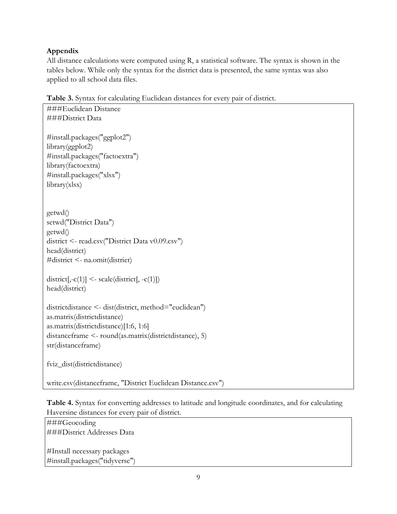## <span id="page-8-0"></span>**Appendix**

All distance calculations were computed using R, a statistical software. The syntax is shown in the tables below. While only the syntax for the district data is presented, the same syntax was also applied to all school data files.

**Table 3.** Syntax for calculating Euclidean distances for every pair of district.

```
###Euclidean Distance
###District Data
#install.packages("ggplot2")
library(ggplot2)
#install.packages("factoextra")
library(factoextra)
#install.packages("xlsx")
library(xlsx)
getwd() 
setwd("District Data")
getwd()
district <- read.csv("District Data v0.09.csv")
head(district)
#district <- na.omit(district)
district[,-c(1)] <- scale(district[, -c(1)])
head(district)
districtdistance <- dist(district, method="euclidean")
as.matrix(districtdistance)
as.matrix(districtdistance)[1:6, 1:6]
distanceframe <- round(as.matrix(districtdistance), 5)
str(distanceframe)
fviz_dist(districtdistance)
write.csv(distanceframe, "District Euclidean Distance.csv")
```
**Table 4.** Syntax for converting addresses to latitude and longitude coordinates, and for calculating Haversine distances for every pair of district.

###Geocoding ###District Addresses Data #Install necessary packages

#install.packages("tidyverse")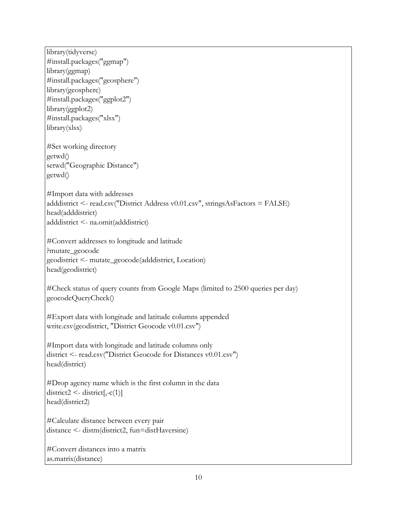library(tidyverse) #install.packages("ggmap") library(ggmap) #install.packages("geosphere") library(geosphere) #install.packages("ggplot2") library(ggplot2) #install.packages("xlsx") library(xlsx) #Set working directory getwd() setwd("Geographic Distance") getwd() #Import data with addresses adddistrict <- read.csv("District Address v0.01.csv", stringsAsFactors = FALSE) head(adddistrict) adddistrict <- na.omit(adddistrict) #Convert addresses to longitude and latitude ?mutate\_geocode geodistrict <- mutate\_geocode(adddistrict, Location) head(geodistrict) #Check status of query counts from Google Maps (limited to 2500 queries per day) geocodeQueryCheck() #Export data with longitude and latitude columns appended write.csv(geodistrict, "District Geocode v0.01.csv") #Import data with longitude and latitude columns only district <- read.csv("District Geocode for Distances v0.01.csv") head(district) #Drop agency name which is the first column in the data  $district2 < -district$ [,-c(1)] head(district2) #Calculate distance between every pair distance <- distm(district2, fun=distHaversine) #Convert distances into a matrix as.matrix(distance)